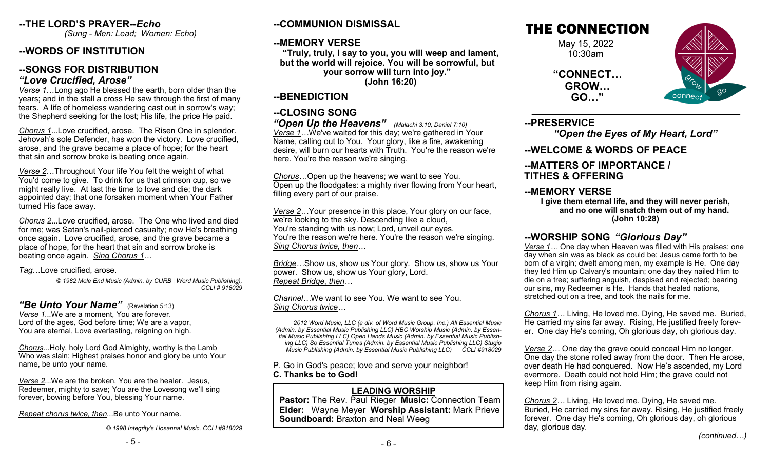# **--THE LORD'S PRAYER***--Echo*

*(Sung - Men: Lead; Women: Echo)*

# **--WORDS OF INSTITUTION**

### **--SONGS FOR DISTRIBUTION**  *"Love Crucified, Arose"*

*Verse 1*…Long ago He blessed the earth, born older than the years; and in the stall a cross He saw through the first of many tears. A life of homeless wandering cast out in sorrow's way; the Shepherd seeking for the lost; His life, the price He paid.

*Chorus 1*...Love crucified, arose. The Risen One in splendor. Jehovah's sole Defender, has won the victory. Love crucified, arose, and the grave became a place of hope; for the heart that sin and sorrow broke is beating once again.

*Verse 2*…Throughout Your life You felt the weight of what You'd come to give. To drink for us that crimson cup, so we might really live. At last the time to love and die; the dark appointed day; that one forsaken moment when Your Father turned His face away.

*Chorus 2*...Love crucified, arose. The One who lived and died for me; was Satan's nail-pierced casualty; now He's breathing once again. Love crucified, arose, and the grave became a place of hope, for the heart that sin and sorrow broke is beating once again. *Sing Chorus 1*…

*Tag*…Love crucified, arose.

*© 1982 Mole End Music (Admin. by CURB | Word Music Publishing), CCLI # 918029*

#### *"Be Unto Your Name"* (Revelation 5:13) *Verse 1...*We are a moment, You are forever.

Lord of the ages, God before time; We are a vapor, You are eternal, Love everlasting, reigning on high.

*Chorus...*Holy, holy Lord God Almighty, worthy is the Lamb Who was slain; Highest praises honor and glory be unto Your name, be unto your name.

*Verse 2...*We are the broken, You are the healer. Jesus, Redeemer, mighty to save; You are the Lovesong we'll sing forever, bowing before You, blessing Your name.

*Repeat chorus twice, then...*Be unto Your name.

*© 1998 Integrity's Hosanna! Music, CCLI #918029*

# **--COMMUNION DISMISSAL**

# **--MEMORY VERSE**

**"Truly, truly, I say to you, you will weep and lament, but the world will rejoice. You will be sorrowful, but your sorrow will turn into joy." (John 16:20)**

# **--BENEDICTION**

# **--CLOSING SONG**

*"Open Up the Heavens" (Malachi 3:10; Daniel 7:10) Verse 1…*We've waited for this day; we're gathered in Your Name, calling out to You. Your glory, like a fire, awakening desire, will burn our hearts with Truth. You're the reason we're here. You're the reason we're singing.

*Chorus…*Open up the heavens; we want to see You. Open up the floodgates: a mighty river flowing from Your heart, filling every part of our praise.

*Verse 2…*Your presence in this place, Your glory on our face, we're looking to the sky. Descending like a cloud, You're standing with us now; Lord, unveil our eyes. You're the reason we're here. You're the reason we're singing. *Sing Chorus twice, then…*

*Bridge…*Show us, show us Your glory. Show us, show us Your power. Show us, show us Your glory, Lord. *Repeat Bridge, then…*

#### *Channel…*We want to see You. We want to see You. *Sing Chorus twice…*

*2012 Word Music, LLC (a div. of Word Music Group, Inc.) All Essential Music (Admin. by Essential Music Publishing LLC) HBC Worship Music (Admin. by Essential Music Publishing LLC) Open Hands Music (Admin. by Essential Music Publishing LLC) So Essential Tunes (Admin. by Essential Music Publishing LLC) Stugio Music Publishing (Admin. by Essential Music Publishing LLC) CCLI #918029*

P. Go in God's peace; love and serve your neighbor! **C. Thanks be to God!**

# **LEADING WORSHIP**

**Pastor:** The Rev. Paul Rieger **Music:** Connection Team **Elder:** Wayne Meyer **Worship Assistant:** Mark Prieve **Soundboard:** Braxton and Neal Weeg

# THE CONNECTION

May 15, 2022 10:30am

**"CONNECT… GROW… GO…"**



# **--PRESERVICE**

*"Open the Eyes of My Heart, Lord"*

# **--WELCOME & WORDS OF PEACE**

#### **--MATTERS OF IMPORTANCE / TITHES & OFFERING**

# **--MEMORY VERSE**

**I give them eternal life, and they will never perish, and no one will snatch them out of my hand. (John 10:28)**

# **--WORSHIP SONG** *"Glorious Day"*

*Verse 1…* One day when Heaven was filled with His praises; one day when sin was as black as could be; Jesus came forth to be born of a virgin; dwelt among men, my example is He. One day they led Him up Calvary's mountain; one day they nailed Him to die on a tree; suffering anguish, despised and rejected; bearing our sins, my Redeemer is He. Hands that healed nations. stretched out on a tree, and took the nails for me.

*Chorus 1…* Living, He loved me. Dying, He saved me. Buried, He carried my sins far away. Rising, He justified freely forever. One day He's coming, Oh glorious day, oh glorious day.

*Verse 2…* One day the grave could conceal Him no longer. One day the stone rolled away from the door. Then He arose, over death He had conquered. Now He's ascended, my Lord evermore. Death could not hold Him; the grave could not keep Him from rising again.

*Chorus 2…* Living, He loved me. Dying, He saved me. Buried, He carried my sins far away. Rising, He justified freely forever. One day He's coming, Oh glorious day, oh glorious day, glorious day.